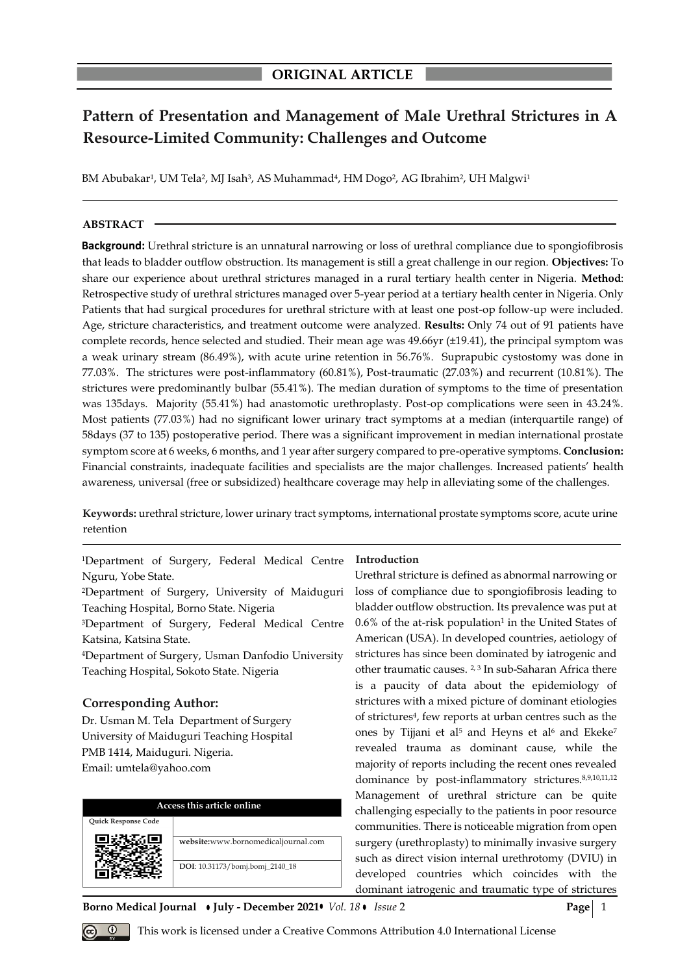# **Pattern of Presentation and Management of Male Urethral Strictures in A Resource-Limited Community: Challenges and Outcome**

BM Abubakar<sup>1</sup>, UM Tela<sup>2</sup>, MJ Isah<sup>3</sup>, AS Muhammad<sup>4</sup>, HM Dogo<sup>2</sup>, AG Ibrahim<sup>2</sup>, UH Malgwi<sup>1</sup>

## **ABSTRACT**

**Background:** Urethral stricture is an unnatural narrowing or loss of urethral compliance due to spongiofibrosis that leads to bladder outflow obstruction. Its management is still a great challenge in our region. **Objectives:** To share our experience about urethral strictures managed in a rural tertiary health center in Nigeria. **Method**: Retrospective study of urethral strictures managed over 5-year period at a tertiary health center in Nigeria. Only Patients that had surgical procedures for urethral stricture with at least one post-op follow-up were included. Age, stricture characteristics, and treatment outcome were analyzed. **Results:** Only 74 out of 91 patients have complete records, hence selected and studied. Their mean age was 49.66yr (±19.41), the principal symptom was a weak urinary stream (86.49%), with acute urine retention in 56.76%. Suprapubic cystostomy was done in 77.03%. The strictures were post-inflammatory (60.81%), Post-traumatic (27.03%) and recurrent (10.81%). The strictures were predominantly bulbar (55.41%). The median duration of symptoms to the time of presentation was 135days. Majority (55.41%) had anastomotic urethroplasty. Post-op complications were seen in 43.24%. Most patients (77.03%) had no significant lower urinary tract symptoms at a median (interquartile range) of 58days (37 to 135) postoperative period. There was a significant improvement in median international prostate symptom score at 6 weeks, 6 months, and 1 year after surgery compared to pre-operative symptoms. **Conclusion:** Financial constraints, inadequate facilities and specialists are the major challenges. Increased patients' health awareness, universal (free or subsidized) healthcare coverage may help in alleviating some of the challenges.

**Keywords:** urethral stricture, lower urinary tract symptoms, international prostate symptoms score, acute urine retention

<sup>1</sup>Department of Surgery, Federal Medical Centre Nguru, Yobe State.

<sup>2</sup>Department of Surgery, University of Maiduguri Teaching Hospital, Borno State. Nigeria

<sup>3</sup>Department of Surgery, Federal Medical Centre Katsina, Katsina State.

<sup>4</sup>Department of Surgery, Usman Danfodio University Teaching Hospital, Sokoto State. Nigeria

## **Corresponding Author:**

Dr. Usman M. Tela Department of Surgery University of Maiduguri Teaching Hospital PMB 1414, Maiduguri. Nigeria. Email: umtela@yahoo.com

| Access this article online |                                     |  |  |
|----------------------------|-------------------------------------|--|--|
| Quick Response Code        |                                     |  |  |
|                            | website:www.bornomedicaljournal.com |  |  |
|                            | DOI: 10.31173/bomj.bomj_2140_18     |  |  |

**Introduction**

Urethral stricture is defined as abnormal narrowing or loss of compliance due to spongiofibrosis leading to bladder outflow obstruction. Its prevalence was put at  $0.6\%$  of the at-risk population<sup>1</sup> in the United States of American (USA). In developed countries, aetiology of strictures has since been dominated by iatrogenic and other traumatic causes. <sup>2, 3</sup> In sub-Saharan Africa there is a paucity of data about the epidemiology of strictures with a mixed picture of dominant etiologies of strictures<sup>4</sup> , few reports at urban centres such as the ones by Tijjani et al<sup>5</sup> and Heyns et al<sup>6</sup> and Ekeke<sup>7</sup> revealed trauma as dominant cause, while the majority of reports including the recent ones revealed dominance by post-inflammatory strictures.8,9,10,11,12 Management of urethral stricture can be quite challenging especially to the patients in poor resource communities. There is noticeable migration from open surgery (urethroplasty) to minimally invasive surgery such as direct vision internal urethrotomy (DVIU) in developed countries which coincides with the dominant iatrogenic and traumatic type of strictures

**Borno Medical Journal • July - December 2021•** *Vol. 18* **Issue 2 Page** 2



*Q* This work is licensed under a Creative Commons Attribution 4.0 International License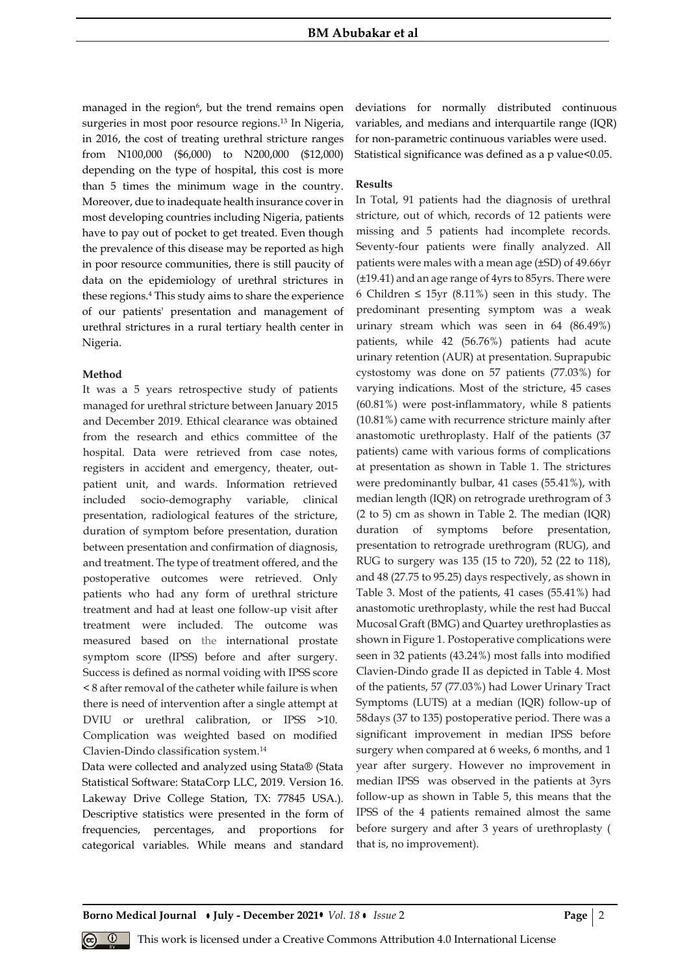managed in the region<sup>6</sup>, but the trend remains open surgeries in most poor resource regions.<sup>13</sup> In Nigeria, in 2016, the cost of treating urethral stricture ranges from N100,000 (\$6,000) to N200,000 (\$12,000) depending on the type of hospital, this cost is more than 5 times the minimum wage in the country. Moreover, due to inadequate health insurance cover in most developing countries including Nigeria, patients have to pay out of pocket to get treated. Even though the prevalence of this disease may be reported as high in poor resource communities, there is still paucity of data on the epidemiology of urethral strictures in these regions.<sup>4</sup> This study aims to share the experience of our patients' presentation and management of urethral strictures in a rural tertiary health center in Nigeria.

## **Method**

It was a 5 years retrospective study of patients managed for urethral stricture between January 2015 and December 2019. Ethical clearance was obtained from the research and ethics committee of the hospital. Data were retrieved from case notes, registers in accident and emergency, theater, outpatient unit, and wards. Information retrieved included socio-demography variable, clinical presentation, radiological features of the stricture, duration of symptom before presentation, duration between presentation and confirmation of diagnosis, and treatment. The type of treatment offered, and the postoperative outcomes were retrieved. Only patients who had any form of urethral stricture treatment and had at least one follow-up visit after treatment were included. The outcome was measured based on the international prostate symptom score (IPSS) before and after surgery. Success is defined as normal voiding with IPSS score < 8 after removal of the catheter while failure is when there is need of intervention after a single attempt at DVIU or urethral calibration, or IPSS >10. Complication was weighted based on modified Clavien-Dindo classification system.<sup>14</sup>

Data were collected and analyzed using Stata® (Stata Statistical Software: StataCorp LLC, 2019. Version 16. Lakeway Drive College Station, TX: 77845 USA.). Descriptive statistics were presented in the form of frequencies, percentages, and proportions for categorical variables. While means and standard

deviations for normally distributed continuous variables, and medians and interquartile range (IQR) for non-parametric continuous variables were used. Statistical significance was defined as a p value<0.05.

## **Results**

In Total, 91 patients had the diagnosis of urethral stricture, out of which, records of 12 patients were missing and 5 patients had incomplete records. Seventy-four patients were finally analyzed. All patients were males with a mean age (±SD) of 49.66yr (±19.41) and an age range of 4yrs to 85yrs. There were 6 Children ≤ 15yr (8.11%) seen in this study. The predominant presenting symptom was a weak urinary stream which was seen in 64 (86.49%) patients, while 42 (56.76%) patients had acute urinary retention (AUR) at presentation. Suprapubic cystostomy was done on 57 patients (77.03%) for varying indications. Most of the stricture, 45 cases (60.81%) were post-inflammatory, while 8 patients (10.81%) came with recurrence stricture mainly after anastomotic urethroplasty. Half of the patients (37 patients) came with various forms of complications at presentation as shown in Table 1. The strictures were predominantly bulbar, 41 cases (55.41%), with median length (IQR) on retrograde urethrogram of 3 (2 to 5) cm as shown in Table 2. The median (IQR) duration of symptoms before presentation, presentation to retrograde urethrogram (RUG), and RUG to surgery was 135 (15 to 720), 52 (22 to 118), and 48 (27.75 to 95.25) days respectively, as shown in Table 3. Most of the patients, 41 cases (55.41%) had anastomotic urethroplasty, while the rest had Buccal Mucosal Graft (BMG) and Quartey urethroplasties as shown in Figure 1. Postoperative complications were seen in 32 patients (43.24%) most falls into modified Clavien-Dindo grade II as depicted in Table 4. Most of the patients, 57 (77.03%) had Lower Urinary Tract Symptoms (LUTS) at a median (IQR) follow-up of 58days (37 to 135) postoperative period. There was a significant improvement in median IPSS before surgery when compared at 6 weeks, 6 months, and 1 year after surgery. However no improvement in median IPSS was observed in the patients at 3yrs follow-up as shown in Table 5, this means that the IPSS of the 4 patients remained almost the same before surgery and after 3 years of urethroplasty ( that is, no improvement).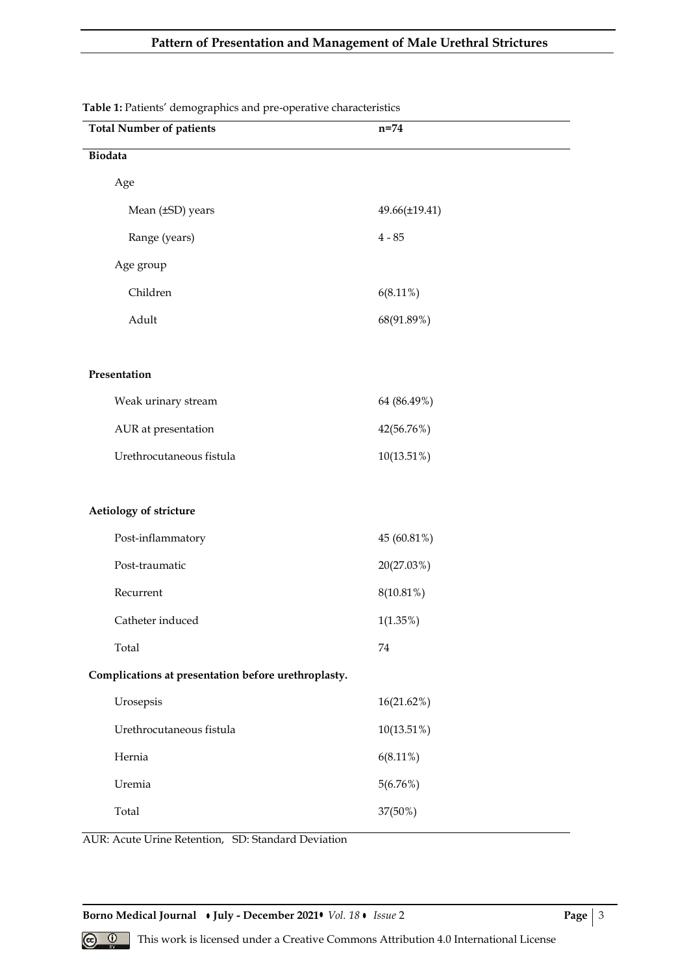# **Pattern of Presentation and Management of Male Urethral Strictures**

| re et anones admographics and pre-operative enanaeteristics<br><b>Total Number of patients</b> | $n=74$        |
|------------------------------------------------------------------------------------------------|---------------|
| Biodata                                                                                        |               |
| Age                                                                                            |               |
| Mean (±SD) years                                                                               | 49.66(±19.41) |
| Range (years)                                                                                  | $4 - 85$      |
|                                                                                                |               |
| Age group                                                                                      |               |
| Children                                                                                       | $6(8.11\%)$   |
| Adult                                                                                          | 68(91.89%)    |
|                                                                                                |               |
| Presentation                                                                                   |               |
| Weak urinary stream                                                                            | 64 (86.49%)   |
| AUR at presentation                                                                            | 42(56.76%)    |
| Urethrocutaneous fistula                                                                       | $10(13.51\%)$ |
|                                                                                                |               |
| Aetiology of stricture                                                                         |               |
| Post-inflammatory                                                                              | 45 (60.81%)   |
| Post-traumatic                                                                                 | 20(27.03%)    |
| Recurrent                                                                                      | 8(10.81%)     |
| Catheter induced                                                                               | $1(1.35\%)$   |
| Total                                                                                          | 74            |
| Complications at presentation before urethroplasty.                                            |               |
| Urosepsis                                                                                      | 16(21.62%)    |
| Urethrocutaneous fistula                                                                       | 10(13.51%)    |
| Hernia                                                                                         | $6(8.11\%)$   |
| Uremia                                                                                         | 5(6.76%)      |
| Total                                                                                          | 37(50%)       |
|                                                                                                |               |

**Table 1:** Patients' demographics and pre-operative characteristics

AUR: Acute Urine Retention, SD: Standard Deviation

**Borno Medical Journal • July - December 2021•** *Vol. 18* • *Issue* 2 **Page** | 3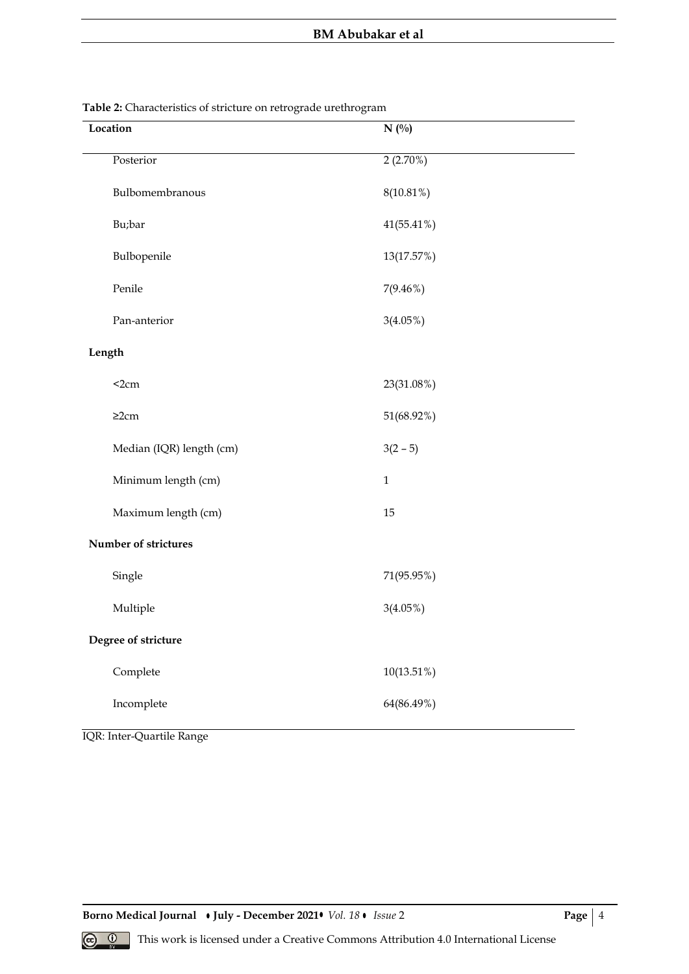| Location                 | $N($ %)      |
|--------------------------|--------------|
| Posterior                | 2(2.70%)     |
| Bulbomembranous          | 8(10.81%)    |
| Bu;bar                   | 41(55.41%)   |
| Bulbopenile              | 13(17.57%)   |
| Penile                   | $7(9.46\%)$  |
| Pan-anterior             | $3(4.05\%)$  |
| Length                   |              |
| $2cm$                    | 23(31.08%)   |
| $\geq$ 2cm               | 51(68.92%)   |
| Median (IQR) length (cm) | $3(2 - 5)$   |
| Minimum length (cm)      | $\mathbf{1}$ |
| Maximum length (cm)      | 15           |
| Number of strictures     |              |
| Single                   | 71(95.95%)   |
| Multiple                 | $3(4.05\%)$  |
| Degree of stricture      |              |
| Complete                 | 10(13.51%)   |
| Incomplete               | 64(86.49%)   |

**Table 2:** Characteristics of stricture on retrograde urethrogram

IQR: Inter-Quartile Range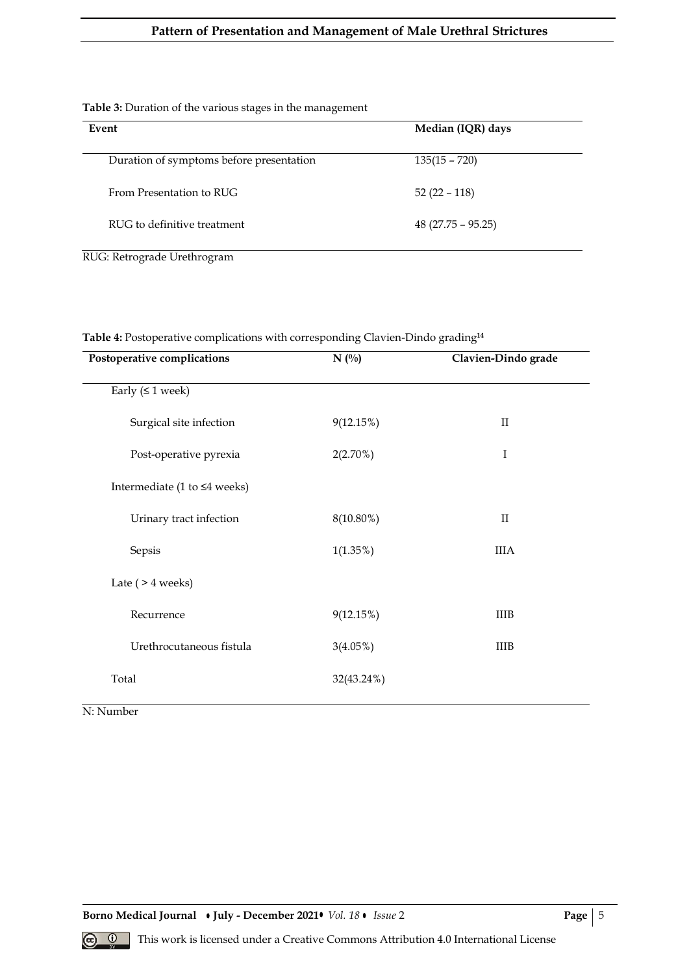# **Pattern of Presentation and Management of Male Urethral Strictures**

## **Table 3:** Duration of the various stages in the management

| Event                                    | Median (IQR) days   |
|------------------------------------------|---------------------|
| Duration of symptoms before presentation | $135(15 - 720)$     |
| From Presentation to RUG                 | $52(22 - 118)$      |
| RUG to definitive treatment              | $48(27.75 - 95.25)$ |

RUG: Retrograde Urethrogram

| Postoperative complications        | $N($ %)     | Clavien-Dindo grade |
|------------------------------------|-------------|---------------------|
| Early $( \leq 1$ week)             |             |                     |
| Surgical site infection            | 9(12.15%)   | $\rm II$            |
| Post-operative pyrexia             | $2(2.70\%)$ | I                   |
| Intermediate (1 to $\leq 4$ weeks) |             |                     |
| Urinary tract infection            | 8(10.80%)   | $_{\rm II}$         |
| Sepsis                             | $1(1.35\%)$ | <b>IIIA</b>         |
| Late $($ > 4 weeks $)$             |             |                     |
| Recurrence                         | 9(12.15%)   | <b>IIIB</b>         |
| Urethrocutaneous fistula           | $3(4.05\%)$ | <b>IIIB</b>         |
| Total                              | 32(43.24%)  |                     |

**Table 4:** Postoperative complications with corresponding Clavien-Dindo grading**<sup>14</sup>**

N: Number

**Borno Medical Journal • July - December 2021 • Vol. 18 • Issue 2 <b>Page | 5** Page | 5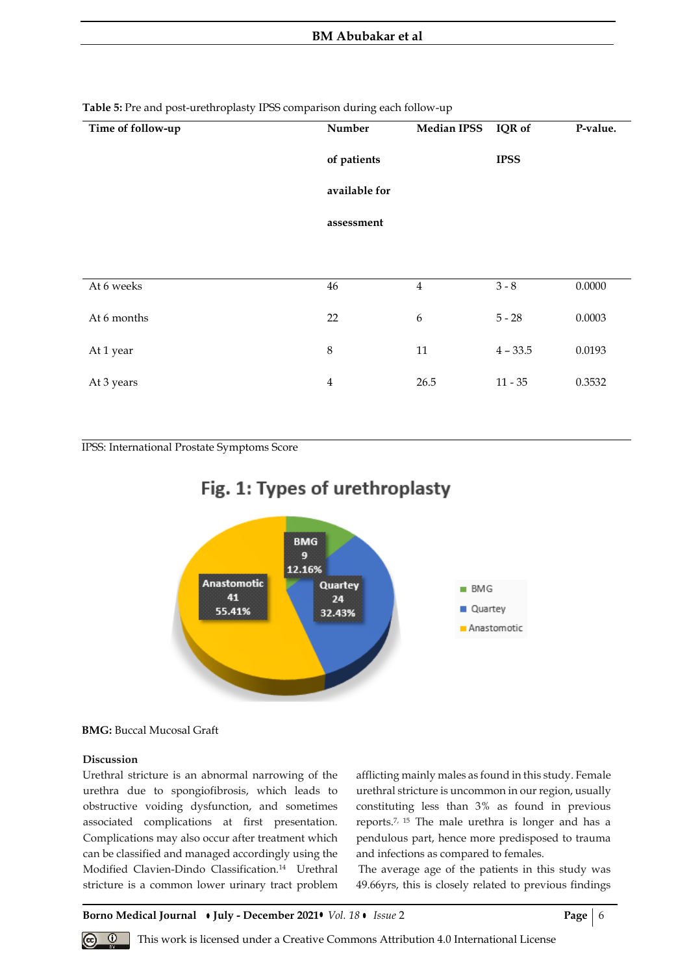| Time of follow-up | Number         | <b>Median IPSS</b> | IQR of      | P-value. |
|-------------------|----------------|--------------------|-------------|----------|
|                   | of patients    |                    | <b>IPSS</b> |          |
|                   | available for  |                    |             |          |
|                   | assessment     |                    |             |          |
|                   |                |                    |             |          |
| At 6 weeks        | 46             | $\overline{4}$     | $3 - 8$     | 0.0000   |
| At 6 months       | 22             | 6                  | $5 - 28$    | 0.0003   |
| At 1 year         | $\,8\,$        | $11\,$             | $4 - 33.5$  | 0.0193   |
| At 3 years        | $\overline{4}$ | 26.5               | $11 - 35$   | 0.3532   |
|                   |                |                    |             |          |

**Table 5:** Pre and post-urethroplasty IPSS comparison during each follow-up

IPSS: International Prostate Symptoms Score





## **BMG:** Buccal Mucosal Graft

#### **Discussion**

Urethral stricture is an abnormal narrowing of the urethra due to spongiofibrosis, which leads to obstructive voiding dysfunction, and sometimes associated complications at first presentation. Complications may also occur after treatment which can be classified and managed accordingly using the Modified Clavien-Dindo Classification.<sup>14</sup> Urethral stricture is a common lower urinary tract problem

afflicting mainly males as found in this study. Female urethral stricture is uncommon in our region, usually constituting less than 3% as found in previous reports.7, 15 The male urethra is longer and has a pendulous part, hence more predisposed to trauma and infections as compared to females.

The average age of the patients in this study was 49.66yrs, this is closely related to previous findings

**Borno Medical Journal • July - December 2021 •** *Vol.* 18 • *Issue* 2 **Page** | 6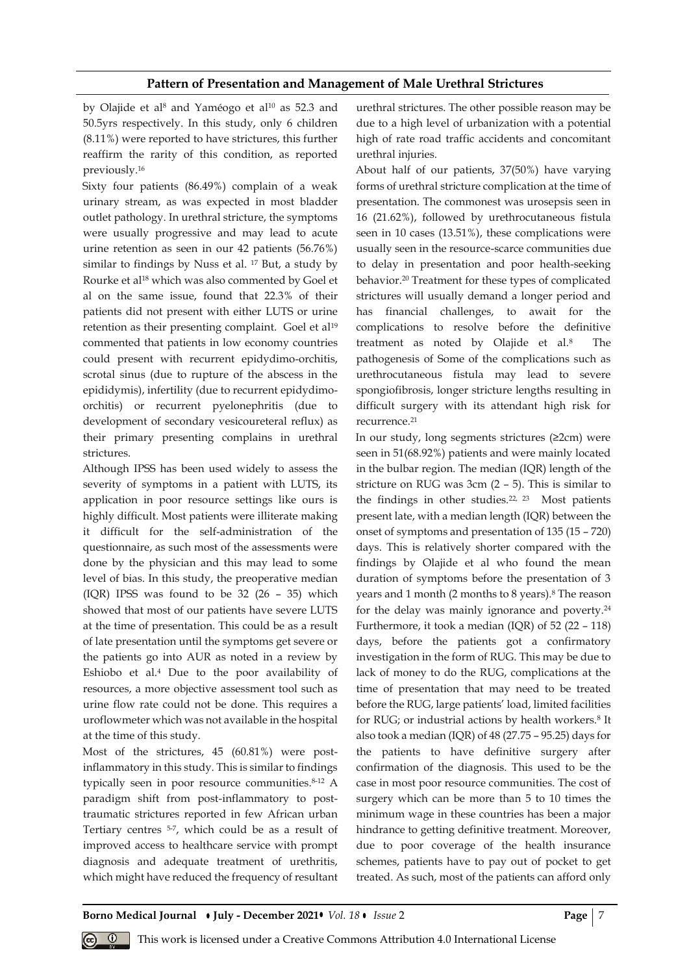## **Pattern of Presentation and Management of Male Urethral Strictures**

by Olajide et al<sup>8</sup> and Yaméogo et al<sup>10</sup> as 52.3 and 50.5yrs respectively. In this study, only 6 children (8.11%) were reported to have strictures, this further reaffirm the rarity of this condition, as reported previously.<sup>16</sup>

Sixty four patients (86.49%) complain of a weak urinary stream, as was expected in most bladder outlet pathology. In urethral stricture, the symptoms were usually progressive and may lead to acute urine retention as seen in our 42 patients (56.76%) similar to findings by Nuss et al. <sup>17</sup> But, a study by Rourke et al<sup>18</sup> which was also commented by Goel et al on the same issue, found that 22.3% of their patients did not present with either LUTS or urine retention as their presenting complaint. Goel et al<sup>19</sup> commented that patients in low economy countries could present with recurrent epidydimo-orchitis, scrotal sinus (due to rupture of the abscess in the epididymis), infertility (due to recurrent epidydimoorchitis) or recurrent pyelonephritis (due to development of secondary vesicoureteral reflux) as their primary presenting complains in urethral strictures.

Although IPSS has been used widely to assess the severity of symptoms in a patient with LUTS, its application in poor resource settings like ours is highly difficult. Most patients were illiterate making it difficult for the self-administration of the questionnaire, as such most of the assessments were done by the physician and this may lead to some level of bias. In this study, the preoperative median (IQR) IPSS was found to be 32 (26 – 35) which showed that most of our patients have severe LUTS at the time of presentation. This could be as a result of late presentation until the symptoms get severe or the patients go into AUR as noted in a review by Eshiobo et al.<sup>4</sup> Due to the poor availability of resources, a more objective assessment tool such as urine flow rate could not be done. This requires a uroflowmeter which was not available in the hospital at the time of this study.

Most of the strictures, 45 (60.81%) were postinflammatory in this study. This is similar to findings typically seen in poor resource communities.<sup>8-12</sup> A paradigm shift from post-inflammatory to posttraumatic strictures reported in few African urban Tertiary centres 5-7 , which could be as a result of improved access to healthcare service with prompt diagnosis and adequate treatment of urethritis, which might have reduced the frequency of resultant

urethral strictures. The other possible reason may be due to a high level of urbanization with a potential high of rate road traffic accidents and concomitant urethral injuries.

About half of our patients, 37(50%) have varying forms of urethral stricture complication at the time of presentation. The commonest was urosepsis seen in 16 (21.62%), followed by urethrocutaneous fistula seen in 10 cases (13.51%), these complications were usually seen in the resource-scarce communities due to delay in presentation and poor health-seeking behavior.<sup>20</sup> Treatment for these types of complicated strictures will usually demand a longer period and has financial challenges, to await for the complications to resolve before the definitive treatment as noted by Olajide et al.<sup>8</sup> The pathogenesis of Some of the complications such as urethrocutaneous fistula may lead to severe spongiofibrosis, longer stricture lengths resulting in difficult surgery with its attendant high risk for recurrence.<sup>21</sup>

In our study, long segments strictures (≥2cm) were seen in 51(68.92%) patients and were mainly located in the bulbar region. The median (IQR) length of the stricture on RUG was 3cm (2 – 5). This is similar to the findings in other studies.<sup>22, 23</sup> Most patients present late, with a median length (IQR) between the onset of symptoms and presentation of 135 (15 – 720) days. This is relatively shorter compared with the findings by Olajide et al who found the mean duration of symptoms before the presentation of 3 years and 1 month (2 months to 8 years).<sup>8</sup> The reason for the delay was mainly ignorance and poverty.<sup>24</sup> Furthermore, it took a median (IQR) of 52 (22 – 118) days, before the patients got a confirmatory investigation in the form of RUG. This may be due to lack of money to do the RUG, complications at the time of presentation that may need to be treated before the RUG, large patients' load, limited facilities for RUG; or industrial actions by health workers.<sup>8</sup> It also took a median (IQR) of 48 (27.75 – 95.25) days for the patients to have definitive surgery after confirmation of the diagnosis. This used to be the case in most poor resource communities. The cost of surgery which can be more than 5 to 10 times the minimum wage in these countries has been a major hindrance to getting definitive treatment. Moreover, due to poor coverage of the health insurance schemes, patients have to pay out of pocket to get treated. As such, most of the patients can afford only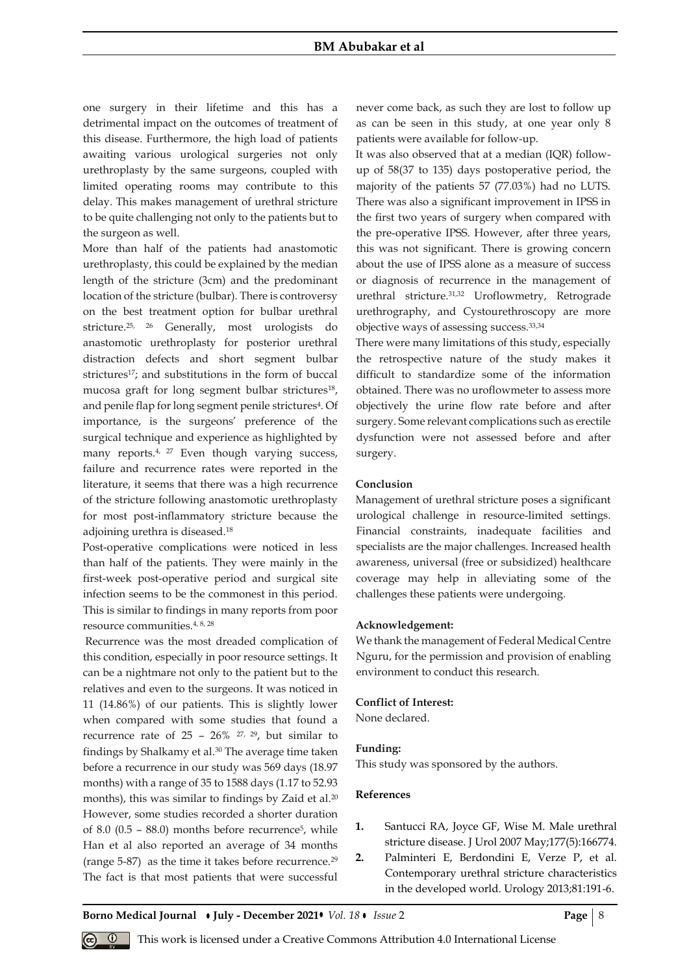#### **BM Abubakar et al**

one surgery in their lifetime and this has a detrimental impact on the outcomes of treatment of this disease. Furthermore, the high load of patients awaiting various urological surgeries not only urethroplasty by the same surgeons, coupled with limited operating rooms may contribute to this delay. This makes management of urethral stricture to be quite challenging not only to the patients but to the surgeon as well.

More than half of the patients had anastomotic urethroplasty, this could be explained by the median length of the stricture (3cm) and the predominant location of the stricture (bulbar). There is controversy on the best treatment option for bulbar urethral stricture.25, 26 Generally, most urologists do anastomotic urethroplasty for posterior urethral distraction defects and short segment bulbar strictures<sup>17</sup>; and substitutions in the form of buccal mucosa graft for long segment bulbar strictures<sup>18</sup>, and penile flap for long segment penile strictures<sup>4</sup>. Of importance, is the surgeons' preference of the surgical technique and experience as highlighted by many reports.<sup>4, 27</sup> Even though varying success, failure and recurrence rates were reported in the literature, it seems that there was a high recurrence of the stricture following anastomotic urethroplasty for most post-inflammatory stricture because the adjoining urethra is diseased.<sup>18</sup>

Post-operative complications were noticed in less than half of the patients. They were mainly in the first-week post-operative period and surgical site infection seems to be the commonest in this period. This is similar to findings in many reports from poor resource communities.4, 8, 28

Recurrence was the most dreaded complication of this condition, especially in poor resource settings. It can be a nightmare not only to the patient but to the relatives and even to the surgeons. It was noticed in 11 (14.86%) of our patients. This is slightly lower when compared with some studies that found a recurrence rate of  $25 - 26\%$  <sup>27, 29</sup>, but similar to findings by Shalkamy et al.<sup>30</sup> The average time taken before a recurrence in our study was 569 days (18.97 months) with a range of 35 to 1588 days (1.17 to 52.93 months), this was similar to findings by Zaid et al.<sup>20</sup> However, some studies recorded a shorter duration of  $8.0$   $(0.5 - 88.0)$  months before recurrence<sup>5</sup>, while Han et al also reported an average of 34 months (range 5-87) as the time it takes before recurrence.<sup>29</sup> The fact is that most patients that were successful

never come back, as such they are lost to follow up as can be seen in this study, at one year only 8 patients were available for follow-up.

It was also observed that at a median (IQR) followup of 58(37 to 135) days postoperative period, the majority of the patients 57 (77.03%) had no LUTS. There was also a significant improvement in IPSS in the first two years of surgery when compared with the pre-operative IPSS. However, after three years, this was not significant. There is growing concern about the use of IPSS alone as a measure of success or diagnosis of recurrence in the management of urethral stricture.31,32 Uroflowmetry, Retrograde urethrography, and Cystourethroscopy are more objective ways of assessing success.33,34

There were many limitations of this study, especially the retrospective nature of the study makes it difficult to standardize some of the information obtained. There was no uroflowmeter to assess more objectively the urine flow rate before and after surgery. Some relevant complications such as erectile dysfunction were not assessed before and after surgery.

#### **Conclusion**

Management of urethral stricture poses a significant urological challenge in resource-limited settings. Financial constraints, inadequate facilities and specialists are the major challenges. Increased health awareness, universal (free or subsidized) healthcare coverage may help in alleviating some of the challenges these patients were undergoing.

#### **Acknowledgement:**

We thank the management of Federal Medical Centre Nguru, for the permission and provision of enabling environment to conduct this research.

#### **Conflict of Interest:**

None declared.

#### **Funding:**

This study was sponsored by the authors.

## **References**

- **1.** Santucci RA, Joyce GF, Wise M. Male urethral stricture disease. J Urol 2007 May;177(5):166774.
- **2.** Palminteri E, Berdondini E, Verze P, et al. Contemporary urethral stricture characteristics in the developed world. Urology 2013;81:191-6.

**Borno Medical Journal • July - December 2021 •** *Vol.* 18 • *Issue* 2 **Page | 8 Page | 8**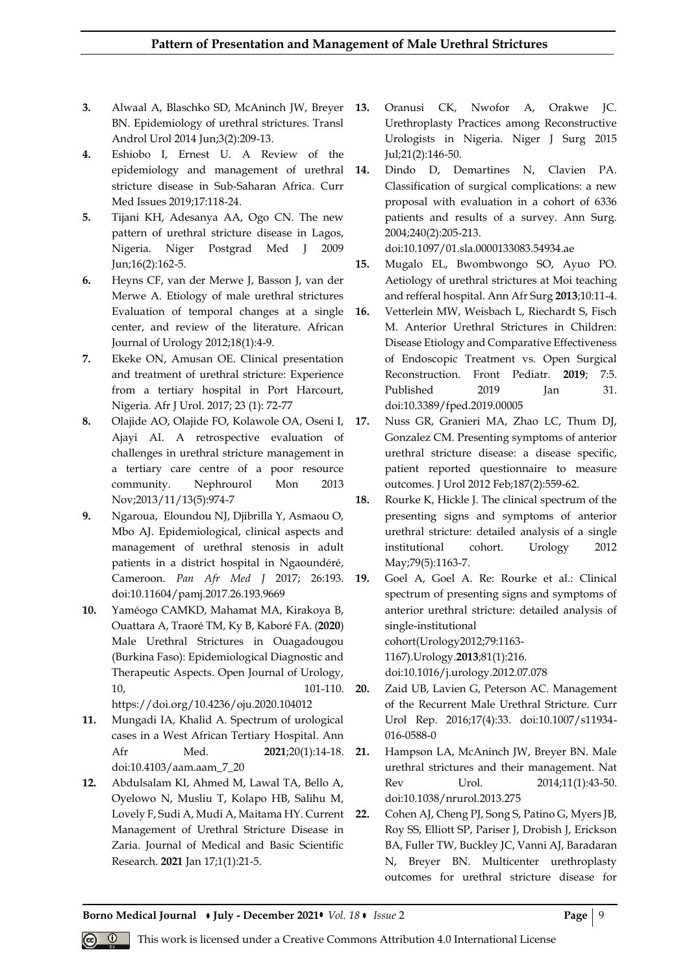- **3.** Alwaal A, Blaschko SD, McAninch JW, Breyer BN. Epidemiology of urethral strictures. Transl Androl Urol 2014 Jun;3(2):209-13.
- **4.** Eshiobo I, Ernest U. A Review of the epidemiology and management of urethral stricture disease in Sub-Saharan Africa. Curr Med Issues 2019;17:118-24.
- **5.** Tijani KH, Adesanya AA, Ogo CN. The new pattern of urethral stricture disease in Lagos, Nigeria. Niger Postgrad Med J 2009 Jun;16(2):162-5.
- **6.** Heyns CF, van der Merwe J, Basson J, van der Merwe A. Etiology of male urethral strictures Evaluation of temporal changes at a single center, and review of the literature. African Journal of Urology 2012;18(1):4-9.
- **7.** Ekeke ON, Amusan OE. Clinical presentation and treatment of urethral stricture: Experience from a tertiary hospital in Port Harcourt, Nigeria. Afr J Urol. 2017; 23 (1): 72-77
- **8.** Olajide AO, Olajide FO, Kolawole OA, Oseni I, Ajayi AI. A retrospective evaluation of challenges in urethral stricture management in a tertiary care centre of a poor resource community. Nephrourol Mon 2013 Nov;2013/11/13(5):974-7
- **9.** Ngaroua, Eloundou NJ, Djibrilla Y, Asmaou O, Mbo AJ. Epidemiological, clinical aspects and management of urethral stenosis in adult patients in a district hospital in Ngaoundéré, Cameroon. *Pan Afr Med J* 2017; 26:193. doi:10.11604/pamj.2017.26.193.9669
- **10.** Yaméogo CAMKD, Mahamat MA, Kirakoya B, Ouattara A, Traoré TM, Ky B, Kaboré FA. (**2020**) Male Urethral Strictures in Ouagadougou (Burkina Faso): Epidemiological Diagnostic and Therapeutic Aspects. Open Journal of Urology, 10, 101-110. https://doi.org/10.4236/oju.2020.104012
- **11.** Mungadi IA, Khalid A. Spectrum of urological cases in a West African Tertiary Hospital. Ann Afr Med. **2021**;20(1):14-18. doi:10.4103/aam.aam\_7\_20
- **12.** Abdulsalam KI, Ahmed M, Lawal TA, Bello A, Oyelowo N, Musliu T, Kolapo HB, Salihu M, Lovely F, Sudi A, Mudi A, Maitama HY. Current 22. Management of Urethral Stricture Disease in Zaria. Journal of Medical and Basic Scientific Research. **2021** Jan 17;1(1):21-5.
- **13.** Oranusi CK, Nwofor A, Orakwe JC. Urethroplasty Practices among Reconstructive Urologists in Nigeria. Niger J Surg 2015 Jul;21(2):146-50.
- **14.** Dindo D, Demartines N, Clavien PA. Classification of surgical complications: a new proposal with evaluation in a cohort of 6336 patients and results of a survey. Ann Surg. 2004;240(2):205-213.

doi:10.1097/01.sla.0000133083.54934.ae

- **15.** Mugalo EL, Bwombwongo SO, Ayuo PO. Aetiology of urethral strictures at Moi teaching and refferal hospital. Ann Afr Surg **2013**;10:11‑4.
- **16.** Vetterlein MW, Weisbach L, Riechardt S, Fisch M. Anterior Urethral Strictures in Children: Disease Etiology and Comparative Effectiveness of Endoscopic Treatment vs. Open Surgical Reconstruction. Front Pediatr. **2019**; 7:5. Published 2019 Ian 31. doi:10.3389/fped.2019.00005
- **17.** Nuss GR, Granieri MA, Zhao LC, Thum DJ, Gonzalez CM. Presenting symptoms of anterior urethral stricture disease: a disease specific, patient reported questionnaire to measure outcomes. J Urol 2012 Feb;187(2):559-62.
- **18.** Rourke K, Hickle J. The clinical spectrum of the presenting signs and symptoms of anterior urethral stricture: detailed analysis of a single institutional cohort. Urology 2012 May;79(5):1163-7.
- **19.** Goel A, Goel A. Re: Rourke et al.: Clinical spectrum of presenting signs and symptoms of anterior urethral stricture: detailed analysis of single-institutional cohort(Urology2012;79:1163-

1167).Urology.**2013**;81(1):216.

doi:10.1016/j.urology.2012.07.078

**20.** Zaid UB, Lavien G, Peterson AC. Management of the Recurrent Male Urethral Stricture. Curr Urol Rep. 2016;17(4):33. doi:10.1007/s11934- 016-0588-0

**21.** Hampson LA, McAninch JW, Breyer BN. Male urethral strictures and their management. Nat Rev Urol. 2014;11(1):43-50. doi:10.1038/nrurol.2013.275

**22.** Cohen AJ, Cheng PJ, Song S, Patino G, Myers JB, Roy SS, Elliott SP, Pariser J, Drobish J, Erickson BA, Fuller TW, Buckley JC, Vanni AJ, Baradaran N, Breyer BN. Multicenter urethroplasty outcomes for urethral stricture disease for

**Borno Medical Journal • July - December 2021 • Vol. 18 • Issue 2 Page | 9**